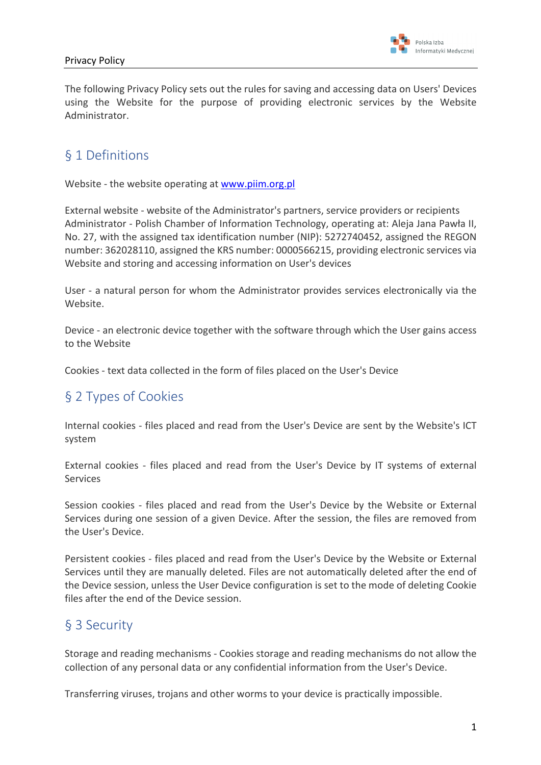

The following Privacy Policy sets out the rules for saving and accessing data on Users' Devices using the Website for the purpose of providing electronic services by the Website Administrator.

## § 1 Definitions

Website - the website operating at www.piim.org.pl

External website - website of the Administrator's partners, service providers or recipients Administrator - Polish Chamber of Information Technology, operating at: Aleja Jana Pawła II, No. 27, with the assigned tax identification number (NIP): 5272740452, assigned the REGON number: 362028110, assigned the KRS number: 0000566215, providing electronic services via Website and storing and accessing information on User's devices

User - a natural person for whom the Administrator provides services electronically via the Website.

Device - an electronic device together with the software through which the User gains access to the Website

Cookies - text data collected in the form of files placed on the User's Device

#### § 2 Types of Cookies

Internal cookies - files placed and read from the User's Device are sent by the Website's ICT system

External cookies - files placed and read from the User's Device by IT systems of external Services

Session cookies - files placed and read from the User's Device by the Website or External Services during one session of a given Device. After the session, the files are removed from the User's Device.

Persistent cookies - files placed and read from the User's Device by the Website or External Services until they are manually deleted. Files are not automatically deleted after the end of the Device session, unless the User Device configuration is set to the mode of deleting Cookie files after the end of the Device session.

### § 3 Security

Storage and reading mechanisms - Cookies storage and reading mechanisms do not allow the collection of any personal data or any confidential information from the User's Device.

Transferring viruses, trojans and other worms to your device is practically impossible.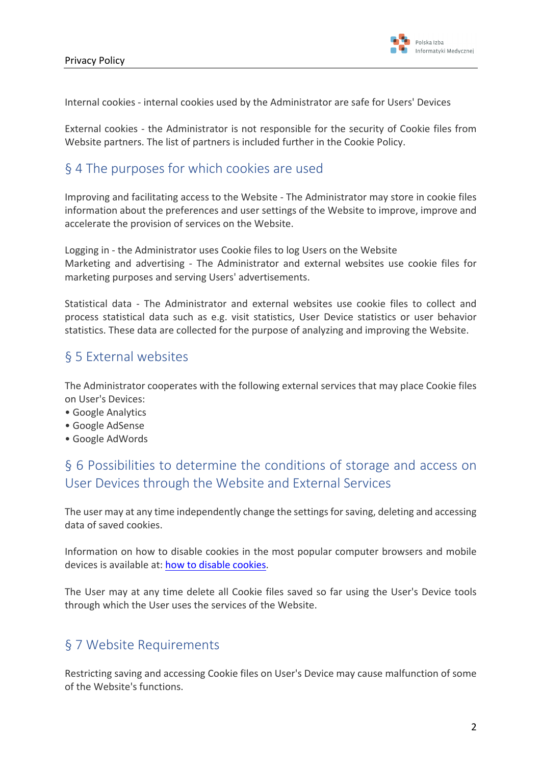

Internal cookies - internal cookies used by the Administrator are safe for Users' Devices

External cookies - the Administrator is not responsible for the security of Cookie files from Website partners. The list of partners is included further in the Cookie Policy.

### § 4 The purposes for which cookies are used

Improving and facilitating access to the Website - The Administrator may store in cookie files information about the preferences and user settings of the Website to improve, improve and accelerate the provision of services on the Website.

Logging in - the Administrator uses Cookie files to log Users on the Website Marketing and advertising - The Administrator and external websites use cookie files for marketing purposes and serving Users' advertisements.

Statistical data - The Administrator and external websites use cookie files to collect and process statistical data such as e.g. visit statistics, User Device statistics or user behavior statistics. These data are collected for the purpose of analyzing and improving the Website.

#### § 5 External websites

The Administrator cooperates with the following external services that may place Cookie files on User's Devices:

- Google Analytics
- Google AdSense
- Google AdWords

# § 6 Possibilities to determine the conditions of storage and access on User Devices through the Website and External Services

The user may at any time independently change the settings for saving, deleting and accessing data of saved cookies.

Information on how to disable cookies in the most popular computer browsers and mobile devices is available at: how to disable cookies.

The User may at any time delete all Cookie files saved so far using the User's Device tools through which the User uses the services of the Website.

### § 7 Website Requirements

Restricting saving and accessing Cookie files on User's Device may cause malfunction of some of the Website's functions.